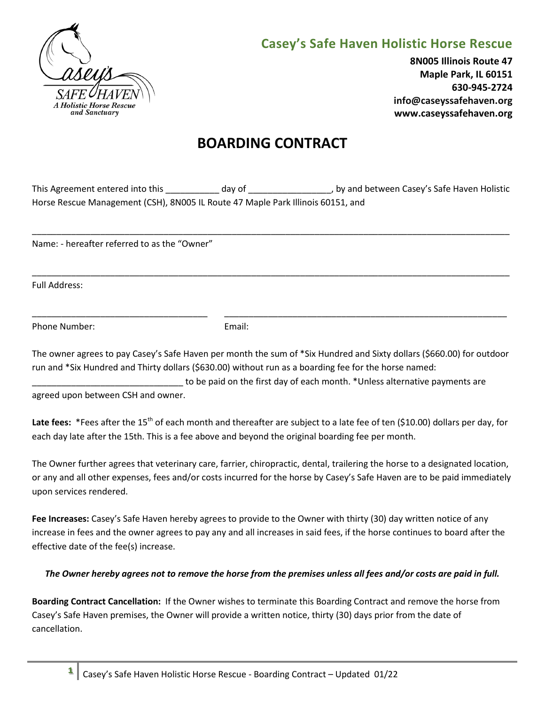

## **Casey's Safe Haven Holistic Horse Rescue**

**8N005 Illinois Route 47 Maple Park, IL 60151 630-945-2724 info@caseyssafehaven.org www.caseyssafehaven.org**

# **BOARDING CONTRACT**

| This Agreement entered into this                                                | dav of | , by and between Casey's Safe Haven Holistic |
|---------------------------------------------------------------------------------|--------|----------------------------------------------|
| Horse Rescue Management (CSH), 8N005 IL Route 47 Maple Park Illinois 60151, and |        |                                              |

\_\_\_\_\_\_\_\_\_\_\_\_\_\_\_\_\_\_\_\_\_\_\_\_\_\_\_\_\_\_\_\_\_\_\_\_\_\_\_\_\_\_\_\_\_\_\_\_\_\_\_\_\_\_\_\_\_\_\_\_\_\_\_\_\_\_\_\_\_\_\_\_\_\_\_\_\_\_\_\_\_\_\_\_\_\_\_\_\_\_\_\_\_\_\_\_\_\_

\_\_\_\_\_\_\_\_\_\_\_\_\_\_\_\_\_\_\_\_\_\_\_\_\_\_\_\_\_\_\_\_\_\_\_\_\_\_\_\_\_\_\_\_\_\_\_\_\_\_\_\_\_\_\_\_\_\_\_\_\_\_\_\_\_\_\_\_\_\_\_\_\_\_\_\_\_\_\_\_\_\_\_\_\_\_\_\_\_\_\_\_\_\_\_\_\_\_

\_\_\_\_\_\_\_\_\_\_\_\_\_\_\_\_\_\_\_\_\_\_\_\_\_\_\_\_\_\_\_\_\_\_\_\_ \_\_\_\_\_\_\_\_\_\_\_\_\_\_\_\_\_\_\_\_\_\_\_\_\_\_\_\_\_\_\_\_\_\_\_\_\_\_\_\_\_\_\_\_\_\_\_\_\_\_\_\_\_\_\_\_\_\_

Name: - hereafter referred to as the "Owner"

Full Address:

Phone Number: Email:

The owner agrees to pay Casey's Safe Haven per month the sum of \*Six Hundred and Sixty dollars (\$660.00) for outdoor run and \*Six Hundred and Thirty dollars (\$630.00) without run as a boarding fee for the horse named:

to be paid on the first day of each month. \*Unless alternative payments are

agreed upon between CSH and owner.

Late fees: \*Fees after the 15<sup>th</sup> of each month and thereafter are subject to a late fee of ten (\$10.00) dollars per day, for each day late after the 15th. This is a fee above and beyond the original boarding fee per month.

The Owner further agrees that veterinary care, farrier, chiropractic, dental, trailering the horse to a designated location, or any and all other expenses, fees and/or costs incurred for the horse by Casey's Safe Haven are to be paid immediately upon services rendered.

**Fee Increases:** Casey's Safe Haven hereby agrees to provide to the Owner with thirty (30) day written notice of any increase in fees and the owner agrees to pay any and all increases in said fees, if the horse continues to board after the effective date of the fee(s) increase.

## *The Owner hereby agrees not to remove the horse from the premises unless all fees and/or costs are paid in full.*

**Boarding Contract Cancellation:** If the Owner wishes to terminate this Boarding Contract and remove the horse from Casey's Safe Haven premises, the Owner will provide a written notice, thirty (30) days prior from the date of cancellation.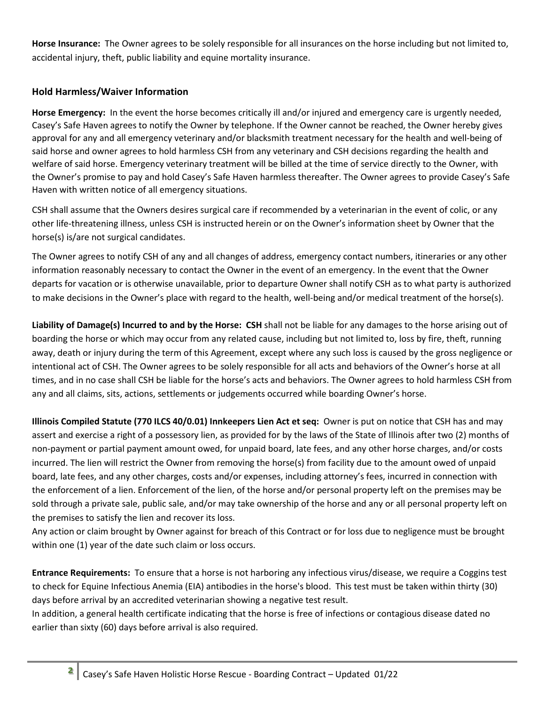**Horse Insurance:** The Owner agrees to be solely responsible for all insurances on the horse including but not limited to, accidental injury, theft, public liability and equine mortality insurance.

## **Hold Harmless/Waiver Information**

**Horse Emergency:** In the event the horse becomes critically ill and/or injured and emergency care is urgently needed, Casey's Safe Haven agrees to notify the Owner by telephone. If the Owner cannot be reached, the Owner hereby gives approval for any and all emergency veterinary and/or blacksmith treatment necessary for the health and well-being of said horse and owner agrees to hold harmless CSH from any veterinary and CSH decisions regarding the health and welfare of said horse. Emergency veterinary treatment will be billed at the time of service directly to the Owner, with the Owner's promise to pay and hold Casey's Safe Haven harmless thereafter. The Owner agrees to provide Casey's Safe Haven with written notice of all emergency situations.

CSH shall assume that the Owners desires surgical care if recommended by a veterinarian in the event of colic, or any other life-threatening illness, unless CSH is instructed herein or on the Owner's information sheet by Owner that the horse(s) is/are not surgical candidates.

The Owner agrees to notify CSH of any and all changes of address, emergency contact numbers, itineraries or any other information reasonably necessary to contact the Owner in the event of an emergency. In the event that the Owner departs for vacation or is otherwise unavailable, prior to departure Owner shall notify CSH as to what party is authorized to make decisions in the Owner's place with regard to the health, well-being and/or medical treatment of the horse(s).

**Liability of Damage(s) Incurred to and by the Horse: CSH** shall not be liable for any damages to the horse arising out of boarding the horse or which may occur from any related cause, including but not limited to, loss by fire, theft, running away, death or injury during the term of this Agreement, except where any such loss is caused by the gross negligence or intentional act of CSH. The Owner agrees to be solely responsible for all acts and behaviors of the Owner's horse at all times, and in no case shall CSH be liable for the horse's acts and behaviors. The Owner agrees to hold harmless CSH from any and all claims, sits, actions, settlements or judgements occurred while boarding Owner's horse.

**Illinois Compiled Statute (770 ILCS 40/0.01) Innkeepers Lien Act et seq:** Owner is put on notice that CSH has and may assert and exercise a right of a possessory lien, as provided for by the laws of the State of Illinois after two (2) months of non-payment or partial payment amount owed, for unpaid board, late fees, and any other horse charges, and/or costs incurred. The lien will restrict the Owner from removing the horse(s) from facility due to the amount owed of unpaid board, late fees, and any other charges, costs and/or expenses, including attorney's fees, incurred in connection with the enforcement of a lien. Enforcement of the lien, of the horse and/or personal property left on the premises may be sold through a private sale, public sale, and/or may take ownership of the horse and any or all personal property left on the premises to satisfy the lien and recover its loss.

Any action or claim brought by Owner against for breach of this Contract or for loss due to negligence must be brought within one (1) year of the date such claim or loss occurs.

**Entrance Requirements:** To ensure that a horse is not harboring any infectious virus/disease, we require a Coggins test to check for Equine Infectious Anemia (EIA) antibodies in the horse's blood. This test must be taken within thirty (30) days before arrival by an accredited veterinarian showing a negative test result.

In addition, a general health certificate indicating that the horse is free of infections or contagious disease dated no earlier than sixty (60) days before arrival is also required.